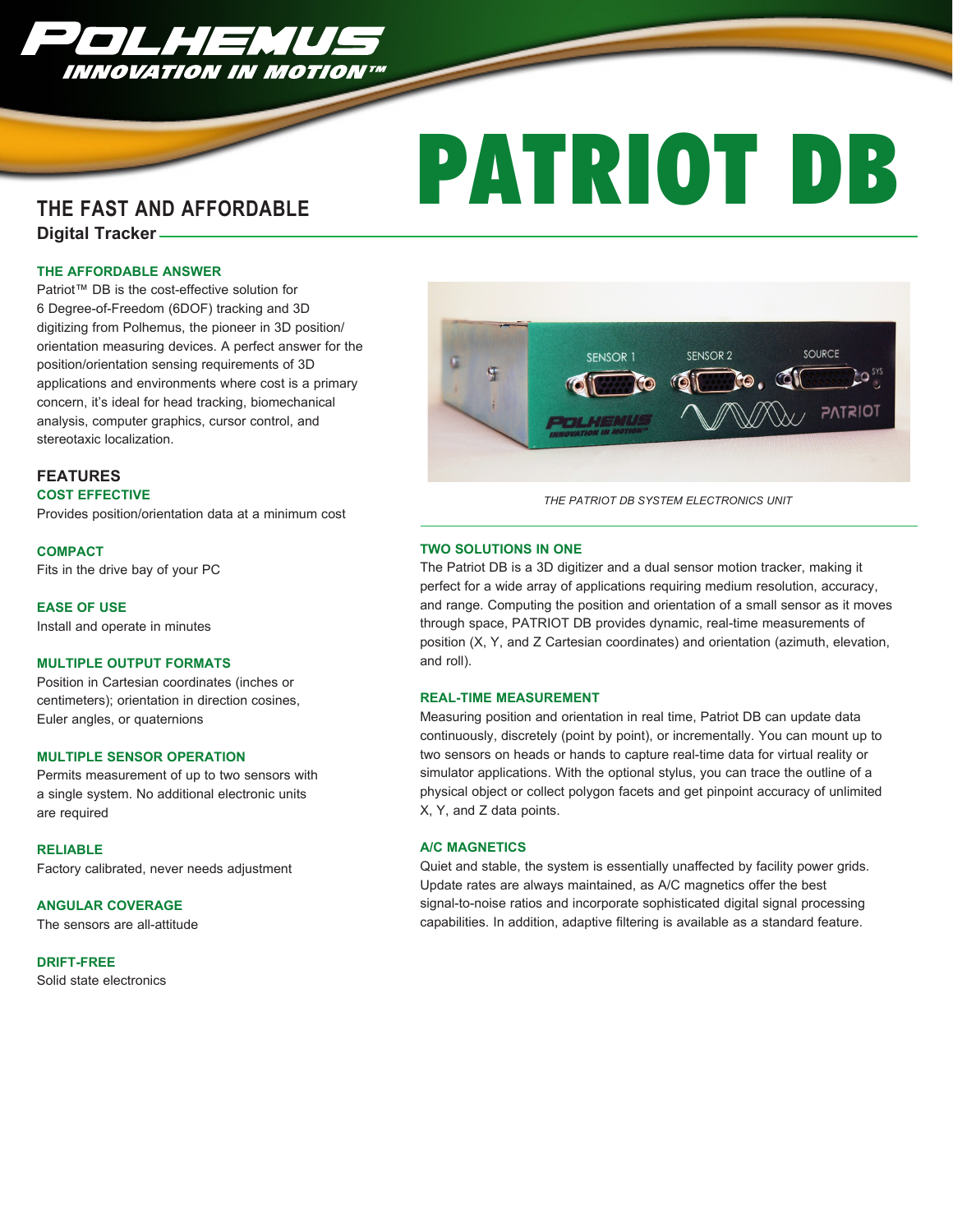

# PATRIOT DB

# **THE FAST AND AFFORDABLE**

**Digital Tracker** 

#### **THE AFFORDABLE ANSWER**

Patriot™ DB is the cost-effective solution for 6 Degree-of-Freedom (6DOF) tracking and 3D digitizing from Polhemus, the pioneer in 3D position/ orientation measuring devices. A perfect answer for the position/orientation sensing requirements of 3D applications and environments where cost is a primary concern, it's ideal for head tracking, biomechanical analysis, computer graphics, cursor control, and stereotaxic localization.

# **FEATURES**

# **COST EFFECTIVE**

Provides position/orientation data at a minimum cost

**COMPACT**

Fits in the drive bay of your PC

**EASE OF USE** 

Install and operate in minutes

#### **MULTIPLE OUTPUT FORMATS**

Position in Cartesian coordinates (inches or centimeters); orientation in direction cosines, Euler angles, or quaternions

#### **MULTIPLE SENSOR OPERATION**

Permits measurement of up to two sensors with a single system. No additional electronic units are required

#### **RELIABLE**

Factory calibrated, never needs adjustment

#### **ANGULAR COVERAGE**

The sensors are all-attitude

# **DRIFT-FREE**

Solid state electronics



*THE PATRIOT DB SYSTEM ELECTRONICS UNIT*

#### **TWO SOLUTIONS IN ONE**

The Patriot DB is a 3D digitizer and a dual sensor motion tracker, making it perfect for a wide array of applications requiring medium resolution, accuracy, and range. Computing the position and orientation of a small sensor as it moves through space, PATRIOT DB provides dynamic, real-time measurements of position (X, Y, and Z Cartesian coordinates) and orientation (azimuth, elevation, and roll).

#### **REAL-TIME MEASUREMENT**

Measuring position and orientation in real time, Patriot DB can update data continuously, discretely (point by point), or incrementally. You can mount up to two sensors on heads or hands to capture real-time data for virtual reality or simulator applications. With the optional stylus, you can trace the outline of a physical object or collect polygon facets and get pinpoint accuracy of unlimited X, Y, and Z data points.

#### **A/C MAGNETICS**

Quiet and stable, the system is essentially unaffected by facility power grids. Update rates are always maintained, as A/C magnetics offer the best signal-to-noise ratios and incorporate sophisticated digital signal processing capabilities. In addition, adaptive filtering is available as a standard feature.